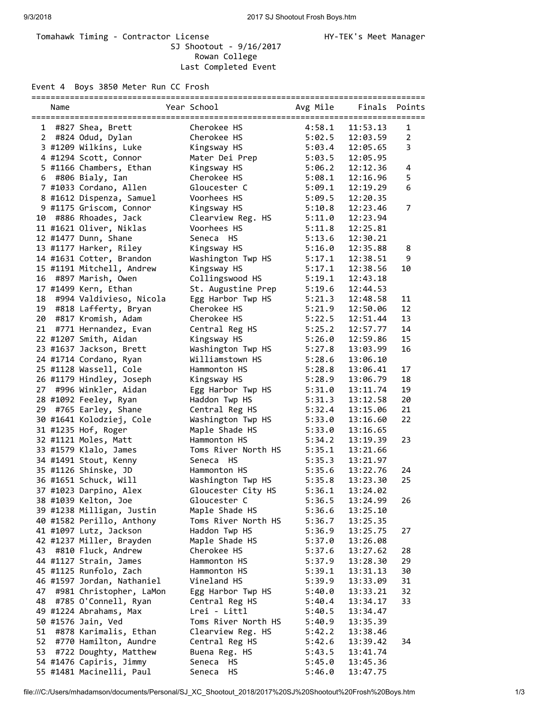## Tomahawk Timing - Contractor License Manager Manager HY-TEK's Meet Manager SJ Shootout - 9/16/2017 Rowan College Last Completed Event

Event 4 Boys 3850 Meter Run CC Frosh

|                       | Name |                            | Year School         | Avg Mile | Finals   | Points         |
|-----------------------|------|----------------------------|---------------------|----------|----------|----------------|
| 1                     |      | #827 Shea, Brett           | Cherokee HS         | 4:58.1   | 11:53.13 | 1              |
| $\mathbf{2}^{\prime}$ |      | #824 Odud, Dylan           | Cherokee HS         | 5:02.5   | 12:03.59 | $\overline{2}$ |
|                       |      | 3 #1209 Wilkins, Luke      | Kingsway HS         | 5:03.4   | 12:05.65 | 3              |
|                       |      | 4 #1294 Scott, Connor      | Mater Dei Prep      |          | 12:05.95 |                |
|                       |      |                            |                     | 5:03.5   |          |                |
|                       |      | 5 #1166 Chambers, Ethan    | Kingsway HS         | 5:06.2   | 12:12.36 | 4              |
|                       |      | 6 #806 Bialy, Ian          | Cherokee HS         | 5:08.1   | 12:16.96 | 5              |
|                       |      | 7 #1033 Cordano, Allen     | Gloucester C        | 5:09.1   | 12:19.29 | 6              |
|                       |      | 8 #1612 Dispenza, Samuel   | Voorhees HS         | 5:09.5   | 12:20.35 |                |
|                       |      | 9 #1175 Griscom, Connor    | Kingsway HS         | 5:10.8   | 12:23.46 | $\overline{7}$ |
| 10 -                  |      | #886 Rhoades, Jack         | Clearview Reg. HS   | 5:11.0   | 12:23.94 |                |
|                       |      | 11 #1621 Oliver, Niklas    | Voorhees HS         | 5:11.8   | 12:25.81 |                |
|                       |      | 12 #1477 Dunn, Shane       | Seneca HS           | 5:13.6   | 12:30.21 |                |
|                       |      | 13 #1177 Harker, Riley     | Kingsway HS         | 5:16.0   | 12:35.88 | 8              |
|                       |      | 14 #1631 Cotter, Brandon   | Washington Twp HS   | 5:17.1   | 12:38.51 | 9              |
|                       |      | 15 #1191 Mitchell, Andrew  | Kingsway HS         | 5:17.1   | 12:38.56 | 10             |
| 16                    |      | #897 Marish, Owen          | Collingswood HS     | 5:19.1   | 12:43.18 |                |
|                       |      | 17 #1499 Kern, Ethan       | St. Augustine Prep  | 5:19.6   | 12:44.53 |                |
| 18                    |      | #994 Valdivieso, Nicola    | Egg Harbor Twp HS   | 5:21.3   | 12:48.58 | 11             |
| 19                    |      | #818 Lafferty, Bryan       | Cherokee HS         | 5:21.9   | 12:50.06 | 12             |
| 20                    |      | #817 Kromish, Adam         | Cherokee HS         | 5:22.5   | 12:51.44 | 13             |
| 21                    |      | #771 Hernandez, Evan       | Central Reg HS      | 5:25.2   | 12:57.77 | 14             |
|                       |      | 22 #1207 Smith, Aidan      |                     |          |          | 15             |
|                       |      |                            | Kingsway HS         | 5:26.0   | 12:59.86 |                |
|                       |      | 23 #1637 Jackson, Brett    | Washington Twp HS   | 5:27.8   | 13:03.99 | 16             |
|                       |      | 24 #1714 Cordano, Ryan     | Williamstown HS     | 5:28.6   | 13:06.10 |                |
|                       |      | 25 #1128 Wassell, Cole     | Hammonton HS        | 5:28.8   | 13:06.41 | 17             |
|                       |      | 26 #1179 Hindley, Joseph   | Kingsway HS         | 5:28.9   | 13:06.79 | 18             |
| 27                    |      | #996 Winkler, Aidan        | Egg Harbor Twp HS   | 5:31.0   | 13:11.74 | 19             |
|                       |      | 28 #1092 Feeley, Ryan      | Haddon Twp HS       | 5:31.3   | 13:12.58 | 20             |
|                       |      | 29 #765 Earley, Shane      | Central Reg HS      | 5:32.4   | 13:15.06 | 21             |
|                       |      | 30 #1641 Kolodziej, Cole   | Washington Twp HS   | 5:33.0   | 13:16.60 | 22             |
|                       |      | 31 #1235 Hof, Roger        | Maple Shade HS      | 5:33.0   | 13:16.65 |                |
|                       |      | 32 #1121 Moles, Matt       | Hammonton HS        | 5:34.2   | 13:19.39 | 23             |
|                       |      | 33 #1579 Klalo, James      | Toms River North HS | 5:35.1   | 13:21.66 |                |
|                       |      | 34 #1491 Stout, Kenny      | Seneca HS           | 5:35.3   | 13:21.97 |                |
|                       |      | 35 #1126 Shinske, JD       | Hammonton HS        | 5:35.6   | 13:22.76 | 24             |
|                       |      | 36 #1651 Schuck, Will      | Washington Twp HS   | 5:35.8   | 13:23.30 | 25             |
|                       |      | 37 #1023 Darpino, Alex     | Gloucester City HS  | 5:36.1   | 13:24.02 |                |
|                       |      | 38 #1039 Kelton, Joe       | Gloucester C        | 5:36.5   | 13:24.99 | 26             |
|                       |      | 39 #1238 Milligan, Justin  | Maple Shade HS      | 5:36.6   | 13:25.10 |                |
|                       |      | 40 #1582 Perillo, Anthony  | Toms River North HS | 5:36.7   | 13:25.35 |                |
|                       |      | 41 #1097 Lutz, Jackson     | Haddon Twp HS       | 5:36.9   | 13:25.75 | 27             |
|                       |      | 42 #1237 Miller, Brayden   | Maple Shade HS      | 5:37.0   | 13:26.08 |                |
| 43                    |      | #810 Fluck, Andrew         | Cherokee HS         | 5:37.6   | 13:27.62 | 28             |
|                       |      | 44 #1127 Strain, James     | Hammonton HS        | 5:37.9   | 13:28.30 | 29             |
|                       |      | 45 #1125 Runfolo, Zach     | Hammonton HS        | 5:39.1   |          | 30             |
|                       |      | 46 #1597 Jordan, Nathaniel |                     |          | 13:31.13 |                |
|                       |      |                            | Vineland HS         | 5:39.9   | 13:33.09 | 31             |
| 47                    |      | #981 Christopher, LaMon    | Egg Harbor Twp HS   | 5:40.0   | 13:33.21 | 32             |
| 48                    |      | #785 O'Connell, Ryan       | Central Reg HS      | 5:40.4   | 13:34.17 | 33             |
|                       |      | 49 #1224 Abrahams, Max     | Lrei - Littl        | 5:40.5   | 13:34.47 |                |
|                       |      | 50 #1576 Jain, Ved         | Toms River North HS | 5:40.9   | 13:35.39 |                |
| 51                    |      | #878 Karimalis, Ethan      | Clearview Reg. HS   | 5:42.2   | 13:38.46 |                |
| 52                    |      | #770 Hamilton, Aundre      | Central Reg HS      | 5:42.6   | 13:39.42 | 34             |
| 53                    |      | #722 Doughty, Matthew      | Buena Reg. HS       | 5:43.5   | 13:41.74 |                |
|                       |      | 54 #1476 Capiris, Jimmy    | Seneca<br>HS        | 5:45.0   | 13:45.36 |                |
|                       |      | 55 #1481 Macinelli, Paul   | HS.<br>Seneca       | 5:46.0   | 13:47.75 |                |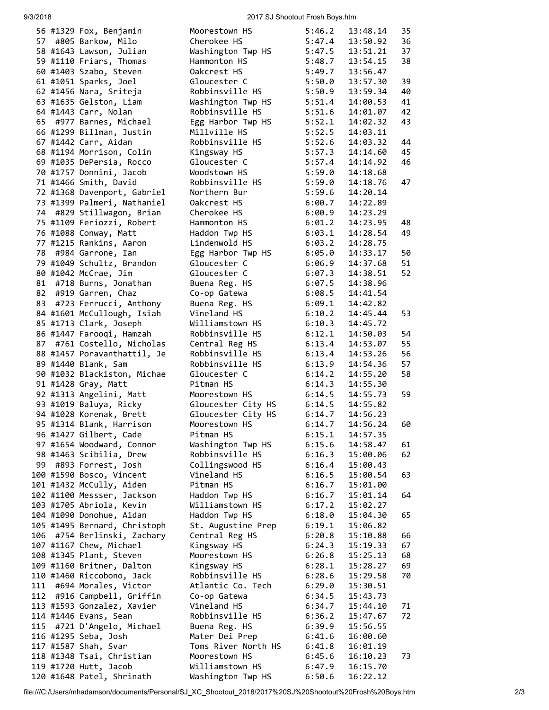## 9/3/2018 2017 SJ Shootout Frosh Boys.htm

| Cherokee HS<br>5:47.4<br>57<br>#805 Barkow, Milo<br>58 #1643 Lawson, Julian<br>5:47.5<br>Washington Twp HS<br>59 #1110 Friars, Thomas<br>Hammonton HS<br>5:48.7<br>60 #1403 Szabo, Steven<br>5:49.7<br>Oakcrest HS<br>61 #1051 Sparks, Joel<br>5:50.0<br>Gloucester C<br>62 #1456 Nara, Sriteja<br>Robbinsville HS<br>5:50.9<br>63 #1635 Gelston, Liam<br>Washington Twp HS<br>5:51.4<br>14:00.53<br>64 #1443 Carr, Nolan<br>Robbinsville HS<br>5:51.6<br>14:01.07<br>65<br>#977 Barnes, Michael<br>5:52.1<br>Egg Harbor Twp HS<br>14:02.32<br>66 #1299 Billman, Justin<br>Millville HS<br>5:52.5<br>14:03.11<br>67 #1442 Carr, Aidan<br>Robbinsville HS<br>5:52.6<br>14:03.32<br>68 #1194 Morrison, Colin<br>5:57.3<br>Kingsway HS<br>14:14.60<br>69 #1035 DePersia, Rocco<br>Gloucester C<br>5:57.4<br>14:14.92<br>5:59.0<br>70 #1757 Donnini, Jacob<br>Woodstown HS<br>14:18.68<br>71 #1466 Smith, David<br>Robbinsville HS<br>5:59.0<br>14:18.76<br>Northern Bur<br>5:59.6<br>72 #1368 Davenport, Gabriel<br>14:20.14<br>73 #1399 Palmeri, Nathaniel<br>Oakcrest HS<br>6:00.7<br>14:22.89<br>#829 Stillwagon, Brian<br>6:00.9<br>74<br>Cherokee HS<br>14:23.29<br>75 #1109 Feriozzi, Robert<br>6:01.2<br>Hammonton HS<br>76 #1088 Conway, Matt<br>6:03.1<br>Haddon Twp HS<br>77 #1215 Rankins, Aaron<br>Lindenwold HS<br>6:03.2<br>78<br>6:05.0<br>#984 Garrone, Ian<br>Egg Harbor Twp HS<br>79 #1049 Schultz, Brandon<br>Gloucester C<br>6:06.9<br>80 #1042 McCrae, Jim<br>6:07.3<br>Gloucester C<br>81<br>#718 Burns, Jonathan<br>6:07.5<br>Buena Reg. HS<br>82<br>#919 Garren, Chaz<br>6:08.5<br>Co-op Gatewa<br>83<br>#723 Ferrucci, Anthony<br>Buena Reg. HS<br>6:09.1<br>84 #1601 McCullough, Isiah<br>6:10.2<br>Vineland HS<br>14:45.44<br>85 #1713 Clark, Joseph<br>Williamstown HS<br>6:10.3<br>14:45.72<br>86 #1447 Farooqi, Hamzah<br>Robbinsville HS<br>6:12.1<br>14:50.03<br>87<br>#761 Costello, Nicholas<br>Central Reg HS<br>6:13.4<br>14:53.07<br>Robbinsville HS<br>14:53.26<br>88 #1457 Poravanthattil, Je<br>6:13.4<br>89 #1440 Blank, Sam<br>Robbinsville HS<br>6:13.9<br>14:54.36<br>90 #1032 Blackiston, Michae<br>Gloucester C<br>6:14.2<br>14:55.20<br>91 #1428 Gray, Matt<br>Pitman HS<br>6:14.3<br>14:55.30<br>92 #1313 Angelini, Matt<br>Moorestown HS<br>6:14.5<br>14:55.73<br>93 #1019 Baluya, Ricky<br>Gloucester City HS<br>6:14.5<br>14:55.82<br>94 #1028 Korenak, Brett<br>Gloucester City HS<br>6:14.7<br>14:56.23<br>95 #1314 Blank, Harrison<br>Moorestown HS<br>6:14.7<br>14:56.24<br>96 #1427 Gilbert, Cade<br>Pitman HS<br>6:15.1<br>97 #1654 Woodward, Connor<br>Washington Twp HS<br>6:15.6<br>98 #1463 Scibilia, Drew<br>Robbinsville HS<br>6:16.3<br>#893 Forrest, Josh<br>Collingswood HS<br>99<br>6:16.4<br>100 #1590 Bosco, Vincent<br>Vineland HS<br>6:16.5<br>101 #1432 McCully, Aiden<br>Pitman HS<br>6:16.7<br>102 #1100 Messser, Jackson<br>Haddon Twp HS<br>6:16.7<br>103 #1705 Abriola, Kevin<br>Williamstown HS<br>6:17.2<br>104 #1090 Donohue, Aidan<br>Haddon Twp HS<br>15:04.30<br>6:18.0<br>105 #1495 Bernard, Christoph<br>St. Augustine Prep<br>6:19.1<br>15:06.82<br>#754 Berlinski, Zachary<br>106<br>Central Reg HS<br>6:20.8<br>15:10.88<br>107 #1167 Chew, Michael<br>Kingsway HS<br>6:24.3<br>15:19.33<br>108 #1345 Plant, Steven<br>Moorestown HS<br>6:26.8<br>15:25.13<br>109 #1160 Britner, Dalton<br>Kingsway HS<br>6:28.1<br>15:28.27<br>110 #1460 Riccobono, Jack<br>Robbinsville HS<br>6:28.6<br>15:29.58<br>#694 Morales, Victor<br>Atlantic Co. Tech<br>111<br>6:29.0<br>15:30.51<br>#916 Campbell, Griffin<br>112<br>Co-op Gatewa<br>6:34.5<br>15:43.73<br>113 #1593 Gonzalez, Xavier<br>Vineland HS<br>6:34.7<br>114 #1446 Evans, Sean<br>Robbinsville HS<br>6:36.2<br>#721 D'Angelo, Michael<br>115<br>Buena Reg. HS<br>6:39.9<br>116 #1295 Seba, Josh<br>Mater Dei Prep<br>6:41.6<br>117 #1587 Shah, Svar<br>Toms River North HS<br>6:41.8<br>118 #1348 Tsai, Christian<br>Moorestown HS<br>6:45.6<br>119 #1720 Hutt, Jacob<br>Williamstown HS<br>6:47.9 |  | 56 #1329 Fox, Benjamin | Moorestown HS | 5:46.2 | 13:48.14 | 35 |
|----------------------------------------------------------------------------------------------------------------------------------------------------------------------------------------------------------------------------------------------------------------------------------------------------------------------------------------------------------------------------------------------------------------------------------------------------------------------------------------------------------------------------------------------------------------------------------------------------------------------------------------------------------------------------------------------------------------------------------------------------------------------------------------------------------------------------------------------------------------------------------------------------------------------------------------------------------------------------------------------------------------------------------------------------------------------------------------------------------------------------------------------------------------------------------------------------------------------------------------------------------------------------------------------------------------------------------------------------------------------------------------------------------------------------------------------------------------------------------------------------------------------------------------------------------------------------------------------------------------------------------------------------------------------------------------------------------------------------------------------------------------------------------------------------------------------------------------------------------------------------------------------------------------------------------------------------------------------------------------------------------------------------------------------------------------------------------------------------------------------------------------------------------------------------------------------------------------------------------------------------------------------------------------------------------------------------------------------------------------------------------------------------------------------------------------------------------------------------------------------------------------------------------------------------------------------------------------------------------------------------------------------------------------------------------------------------------------------------------------------------------------------------------------------------------------------------------------------------------------------------------------------------------------------------------------------------------------------------------------------------------------------------------------------------------------------------------------------------------------------------------------------------------------------------------------------------------------------------------------------------------------------------------------------------------------------------------------------------------------------------------------------------------------------------------------------------------------------------------------------------------------------------------------------------------------------------------------------------------------------------------------------------------------------------------------------------------------------------------------------------------------------------------------------------------------------------------------------------------------------------------------------------------------------------------------------------------------------------------------------------------------------------------------------|--|------------------------|---------------|--------|----------|----|
|                                                                                                                                                                                                                                                                                                                                                                                                                                                                                                                                                                                                                                                                                                                                                                                                                                                                                                                                                                                                                                                                                                                                                                                                                                                                                                                                                                                                                                                                                                                                                                                                                                                                                                                                                                                                                                                                                                                                                                                                                                                                                                                                                                                                                                                                                                                                                                                                                                                                                                                                                                                                                                                                                                                                                                                                                                                                                                                                                                                                                                                                                                                                                                                                                                                                                                                                                                                                                                                                                                                                                                                                                                                                                                                                                                                                                                                                                                                                                                                                                                              |  |                        |               |        | 13:50.92 | 36 |
|                                                                                                                                                                                                                                                                                                                                                                                                                                                                                                                                                                                                                                                                                                                                                                                                                                                                                                                                                                                                                                                                                                                                                                                                                                                                                                                                                                                                                                                                                                                                                                                                                                                                                                                                                                                                                                                                                                                                                                                                                                                                                                                                                                                                                                                                                                                                                                                                                                                                                                                                                                                                                                                                                                                                                                                                                                                                                                                                                                                                                                                                                                                                                                                                                                                                                                                                                                                                                                                                                                                                                                                                                                                                                                                                                                                                                                                                                                                                                                                                                                              |  |                        |               |        | 13:51.21 | 37 |
|                                                                                                                                                                                                                                                                                                                                                                                                                                                                                                                                                                                                                                                                                                                                                                                                                                                                                                                                                                                                                                                                                                                                                                                                                                                                                                                                                                                                                                                                                                                                                                                                                                                                                                                                                                                                                                                                                                                                                                                                                                                                                                                                                                                                                                                                                                                                                                                                                                                                                                                                                                                                                                                                                                                                                                                                                                                                                                                                                                                                                                                                                                                                                                                                                                                                                                                                                                                                                                                                                                                                                                                                                                                                                                                                                                                                                                                                                                                                                                                                                                              |  |                        |               |        | 13:54.15 | 38 |
|                                                                                                                                                                                                                                                                                                                                                                                                                                                                                                                                                                                                                                                                                                                                                                                                                                                                                                                                                                                                                                                                                                                                                                                                                                                                                                                                                                                                                                                                                                                                                                                                                                                                                                                                                                                                                                                                                                                                                                                                                                                                                                                                                                                                                                                                                                                                                                                                                                                                                                                                                                                                                                                                                                                                                                                                                                                                                                                                                                                                                                                                                                                                                                                                                                                                                                                                                                                                                                                                                                                                                                                                                                                                                                                                                                                                                                                                                                                                                                                                                                              |  |                        |               |        | 13:56.47 |    |
|                                                                                                                                                                                                                                                                                                                                                                                                                                                                                                                                                                                                                                                                                                                                                                                                                                                                                                                                                                                                                                                                                                                                                                                                                                                                                                                                                                                                                                                                                                                                                                                                                                                                                                                                                                                                                                                                                                                                                                                                                                                                                                                                                                                                                                                                                                                                                                                                                                                                                                                                                                                                                                                                                                                                                                                                                                                                                                                                                                                                                                                                                                                                                                                                                                                                                                                                                                                                                                                                                                                                                                                                                                                                                                                                                                                                                                                                                                                                                                                                                                              |  |                        |               |        | 13:57.30 | 39 |
|                                                                                                                                                                                                                                                                                                                                                                                                                                                                                                                                                                                                                                                                                                                                                                                                                                                                                                                                                                                                                                                                                                                                                                                                                                                                                                                                                                                                                                                                                                                                                                                                                                                                                                                                                                                                                                                                                                                                                                                                                                                                                                                                                                                                                                                                                                                                                                                                                                                                                                                                                                                                                                                                                                                                                                                                                                                                                                                                                                                                                                                                                                                                                                                                                                                                                                                                                                                                                                                                                                                                                                                                                                                                                                                                                                                                                                                                                                                                                                                                                                              |  |                        |               |        | 13:59.34 | 40 |
|                                                                                                                                                                                                                                                                                                                                                                                                                                                                                                                                                                                                                                                                                                                                                                                                                                                                                                                                                                                                                                                                                                                                                                                                                                                                                                                                                                                                                                                                                                                                                                                                                                                                                                                                                                                                                                                                                                                                                                                                                                                                                                                                                                                                                                                                                                                                                                                                                                                                                                                                                                                                                                                                                                                                                                                                                                                                                                                                                                                                                                                                                                                                                                                                                                                                                                                                                                                                                                                                                                                                                                                                                                                                                                                                                                                                                                                                                                                                                                                                                                              |  |                        |               |        |          | 41 |
|                                                                                                                                                                                                                                                                                                                                                                                                                                                                                                                                                                                                                                                                                                                                                                                                                                                                                                                                                                                                                                                                                                                                                                                                                                                                                                                                                                                                                                                                                                                                                                                                                                                                                                                                                                                                                                                                                                                                                                                                                                                                                                                                                                                                                                                                                                                                                                                                                                                                                                                                                                                                                                                                                                                                                                                                                                                                                                                                                                                                                                                                                                                                                                                                                                                                                                                                                                                                                                                                                                                                                                                                                                                                                                                                                                                                                                                                                                                                                                                                                                              |  |                        |               |        |          | 42 |
|                                                                                                                                                                                                                                                                                                                                                                                                                                                                                                                                                                                                                                                                                                                                                                                                                                                                                                                                                                                                                                                                                                                                                                                                                                                                                                                                                                                                                                                                                                                                                                                                                                                                                                                                                                                                                                                                                                                                                                                                                                                                                                                                                                                                                                                                                                                                                                                                                                                                                                                                                                                                                                                                                                                                                                                                                                                                                                                                                                                                                                                                                                                                                                                                                                                                                                                                                                                                                                                                                                                                                                                                                                                                                                                                                                                                                                                                                                                                                                                                                                              |  |                        |               |        |          | 43 |
|                                                                                                                                                                                                                                                                                                                                                                                                                                                                                                                                                                                                                                                                                                                                                                                                                                                                                                                                                                                                                                                                                                                                                                                                                                                                                                                                                                                                                                                                                                                                                                                                                                                                                                                                                                                                                                                                                                                                                                                                                                                                                                                                                                                                                                                                                                                                                                                                                                                                                                                                                                                                                                                                                                                                                                                                                                                                                                                                                                                                                                                                                                                                                                                                                                                                                                                                                                                                                                                                                                                                                                                                                                                                                                                                                                                                                                                                                                                                                                                                                                              |  |                        |               |        |          |    |
|                                                                                                                                                                                                                                                                                                                                                                                                                                                                                                                                                                                                                                                                                                                                                                                                                                                                                                                                                                                                                                                                                                                                                                                                                                                                                                                                                                                                                                                                                                                                                                                                                                                                                                                                                                                                                                                                                                                                                                                                                                                                                                                                                                                                                                                                                                                                                                                                                                                                                                                                                                                                                                                                                                                                                                                                                                                                                                                                                                                                                                                                                                                                                                                                                                                                                                                                                                                                                                                                                                                                                                                                                                                                                                                                                                                                                                                                                                                                                                                                                                              |  |                        |               |        |          | 44 |
|                                                                                                                                                                                                                                                                                                                                                                                                                                                                                                                                                                                                                                                                                                                                                                                                                                                                                                                                                                                                                                                                                                                                                                                                                                                                                                                                                                                                                                                                                                                                                                                                                                                                                                                                                                                                                                                                                                                                                                                                                                                                                                                                                                                                                                                                                                                                                                                                                                                                                                                                                                                                                                                                                                                                                                                                                                                                                                                                                                                                                                                                                                                                                                                                                                                                                                                                                                                                                                                                                                                                                                                                                                                                                                                                                                                                                                                                                                                                                                                                                                              |  |                        |               |        |          | 45 |
|                                                                                                                                                                                                                                                                                                                                                                                                                                                                                                                                                                                                                                                                                                                                                                                                                                                                                                                                                                                                                                                                                                                                                                                                                                                                                                                                                                                                                                                                                                                                                                                                                                                                                                                                                                                                                                                                                                                                                                                                                                                                                                                                                                                                                                                                                                                                                                                                                                                                                                                                                                                                                                                                                                                                                                                                                                                                                                                                                                                                                                                                                                                                                                                                                                                                                                                                                                                                                                                                                                                                                                                                                                                                                                                                                                                                                                                                                                                                                                                                                                              |  |                        |               |        |          |    |
|                                                                                                                                                                                                                                                                                                                                                                                                                                                                                                                                                                                                                                                                                                                                                                                                                                                                                                                                                                                                                                                                                                                                                                                                                                                                                                                                                                                                                                                                                                                                                                                                                                                                                                                                                                                                                                                                                                                                                                                                                                                                                                                                                                                                                                                                                                                                                                                                                                                                                                                                                                                                                                                                                                                                                                                                                                                                                                                                                                                                                                                                                                                                                                                                                                                                                                                                                                                                                                                                                                                                                                                                                                                                                                                                                                                                                                                                                                                                                                                                                                              |  |                        |               |        |          | 46 |
|                                                                                                                                                                                                                                                                                                                                                                                                                                                                                                                                                                                                                                                                                                                                                                                                                                                                                                                                                                                                                                                                                                                                                                                                                                                                                                                                                                                                                                                                                                                                                                                                                                                                                                                                                                                                                                                                                                                                                                                                                                                                                                                                                                                                                                                                                                                                                                                                                                                                                                                                                                                                                                                                                                                                                                                                                                                                                                                                                                                                                                                                                                                                                                                                                                                                                                                                                                                                                                                                                                                                                                                                                                                                                                                                                                                                                                                                                                                                                                                                                                              |  |                        |               |        |          |    |
|                                                                                                                                                                                                                                                                                                                                                                                                                                                                                                                                                                                                                                                                                                                                                                                                                                                                                                                                                                                                                                                                                                                                                                                                                                                                                                                                                                                                                                                                                                                                                                                                                                                                                                                                                                                                                                                                                                                                                                                                                                                                                                                                                                                                                                                                                                                                                                                                                                                                                                                                                                                                                                                                                                                                                                                                                                                                                                                                                                                                                                                                                                                                                                                                                                                                                                                                                                                                                                                                                                                                                                                                                                                                                                                                                                                                                                                                                                                                                                                                                                              |  |                        |               |        |          | 47 |
|                                                                                                                                                                                                                                                                                                                                                                                                                                                                                                                                                                                                                                                                                                                                                                                                                                                                                                                                                                                                                                                                                                                                                                                                                                                                                                                                                                                                                                                                                                                                                                                                                                                                                                                                                                                                                                                                                                                                                                                                                                                                                                                                                                                                                                                                                                                                                                                                                                                                                                                                                                                                                                                                                                                                                                                                                                                                                                                                                                                                                                                                                                                                                                                                                                                                                                                                                                                                                                                                                                                                                                                                                                                                                                                                                                                                                                                                                                                                                                                                                                              |  |                        |               |        |          |    |
|                                                                                                                                                                                                                                                                                                                                                                                                                                                                                                                                                                                                                                                                                                                                                                                                                                                                                                                                                                                                                                                                                                                                                                                                                                                                                                                                                                                                                                                                                                                                                                                                                                                                                                                                                                                                                                                                                                                                                                                                                                                                                                                                                                                                                                                                                                                                                                                                                                                                                                                                                                                                                                                                                                                                                                                                                                                                                                                                                                                                                                                                                                                                                                                                                                                                                                                                                                                                                                                                                                                                                                                                                                                                                                                                                                                                                                                                                                                                                                                                                                              |  |                        |               |        |          |    |
|                                                                                                                                                                                                                                                                                                                                                                                                                                                                                                                                                                                                                                                                                                                                                                                                                                                                                                                                                                                                                                                                                                                                                                                                                                                                                                                                                                                                                                                                                                                                                                                                                                                                                                                                                                                                                                                                                                                                                                                                                                                                                                                                                                                                                                                                                                                                                                                                                                                                                                                                                                                                                                                                                                                                                                                                                                                                                                                                                                                                                                                                                                                                                                                                                                                                                                                                                                                                                                                                                                                                                                                                                                                                                                                                                                                                                                                                                                                                                                                                                                              |  |                        |               |        |          |    |
|                                                                                                                                                                                                                                                                                                                                                                                                                                                                                                                                                                                                                                                                                                                                                                                                                                                                                                                                                                                                                                                                                                                                                                                                                                                                                                                                                                                                                                                                                                                                                                                                                                                                                                                                                                                                                                                                                                                                                                                                                                                                                                                                                                                                                                                                                                                                                                                                                                                                                                                                                                                                                                                                                                                                                                                                                                                                                                                                                                                                                                                                                                                                                                                                                                                                                                                                                                                                                                                                                                                                                                                                                                                                                                                                                                                                                                                                                                                                                                                                                                              |  |                        |               |        | 14:23.95 | 48 |
|                                                                                                                                                                                                                                                                                                                                                                                                                                                                                                                                                                                                                                                                                                                                                                                                                                                                                                                                                                                                                                                                                                                                                                                                                                                                                                                                                                                                                                                                                                                                                                                                                                                                                                                                                                                                                                                                                                                                                                                                                                                                                                                                                                                                                                                                                                                                                                                                                                                                                                                                                                                                                                                                                                                                                                                                                                                                                                                                                                                                                                                                                                                                                                                                                                                                                                                                                                                                                                                                                                                                                                                                                                                                                                                                                                                                                                                                                                                                                                                                                                              |  |                        |               |        | 14:28.54 | 49 |
|                                                                                                                                                                                                                                                                                                                                                                                                                                                                                                                                                                                                                                                                                                                                                                                                                                                                                                                                                                                                                                                                                                                                                                                                                                                                                                                                                                                                                                                                                                                                                                                                                                                                                                                                                                                                                                                                                                                                                                                                                                                                                                                                                                                                                                                                                                                                                                                                                                                                                                                                                                                                                                                                                                                                                                                                                                                                                                                                                                                                                                                                                                                                                                                                                                                                                                                                                                                                                                                                                                                                                                                                                                                                                                                                                                                                                                                                                                                                                                                                                                              |  |                        |               |        | 14:28.75 |    |
|                                                                                                                                                                                                                                                                                                                                                                                                                                                                                                                                                                                                                                                                                                                                                                                                                                                                                                                                                                                                                                                                                                                                                                                                                                                                                                                                                                                                                                                                                                                                                                                                                                                                                                                                                                                                                                                                                                                                                                                                                                                                                                                                                                                                                                                                                                                                                                                                                                                                                                                                                                                                                                                                                                                                                                                                                                                                                                                                                                                                                                                                                                                                                                                                                                                                                                                                                                                                                                                                                                                                                                                                                                                                                                                                                                                                                                                                                                                                                                                                                                              |  |                        |               |        | 14:33.17 | 50 |
|                                                                                                                                                                                                                                                                                                                                                                                                                                                                                                                                                                                                                                                                                                                                                                                                                                                                                                                                                                                                                                                                                                                                                                                                                                                                                                                                                                                                                                                                                                                                                                                                                                                                                                                                                                                                                                                                                                                                                                                                                                                                                                                                                                                                                                                                                                                                                                                                                                                                                                                                                                                                                                                                                                                                                                                                                                                                                                                                                                                                                                                                                                                                                                                                                                                                                                                                                                                                                                                                                                                                                                                                                                                                                                                                                                                                                                                                                                                                                                                                                                              |  |                        |               |        | 14:37.68 | 51 |
|                                                                                                                                                                                                                                                                                                                                                                                                                                                                                                                                                                                                                                                                                                                                                                                                                                                                                                                                                                                                                                                                                                                                                                                                                                                                                                                                                                                                                                                                                                                                                                                                                                                                                                                                                                                                                                                                                                                                                                                                                                                                                                                                                                                                                                                                                                                                                                                                                                                                                                                                                                                                                                                                                                                                                                                                                                                                                                                                                                                                                                                                                                                                                                                                                                                                                                                                                                                                                                                                                                                                                                                                                                                                                                                                                                                                                                                                                                                                                                                                                                              |  |                        |               |        | 14:38.51 | 52 |
|                                                                                                                                                                                                                                                                                                                                                                                                                                                                                                                                                                                                                                                                                                                                                                                                                                                                                                                                                                                                                                                                                                                                                                                                                                                                                                                                                                                                                                                                                                                                                                                                                                                                                                                                                                                                                                                                                                                                                                                                                                                                                                                                                                                                                                                                                                                                                                                                                                                                                                                                                                                                                                                                                                                                                                                                                                                                                                                                                                                                                                                                                                                                                                                                                                                                                                                                                                                                                                                                                                                                                                                                                                                                                                                                                                                                                                                                                                                                                                                                                                              |  |                        |               |        | 14:38.96 |    |
|                                                                                                                                                                                                                                                                                                                                                                                                                                                                                                                                                                                                                                                                                                                                                                                                                                                                                                                                                                                                                                                                                                                                                                                                                                                                                                                                                                                                                                                                                                                                                                                                                                                                                                                                                                                                                                                                                                                                                                                                                                                                                                                                                                                                                                                                                                                                                                                                                                                                                                                                                                                                                                                                                                                                                                                                                                                                                                                                                                                                                                                                                                                                                                                                                                                                                                                                                                                                                                                                                                                                                                                                                                                                                                                                                                                                                                                                                                                                                                                                                                              |  |                        |               |        | 14:41.54 |    |
|                                                                                                                                                                                                                                                                                                                                                                                                                                                                                                                                                                                                                                                                                                                                                                                                                                                                                                                                                                                                                                                                                                                                                                                                                                                                                                                                                                                                                                                                                                                                                                                                                                                                                                                                                                                                                                                                                                                                                                                                                                                                                                                                                                                                                                                                                                                                                                                                                                                                                                                                                                                                                                                                                                                                                                                                                                                                                                                                                                                                                                                                                                                                                                                                                                                                                                                                                                                                                                                                                                                                                                                                                                                                                                                                                                                                                                                                                                                                                                                                                                              |  |                        |               |        | 14:42.82 |    |
|                                                                                                                                                                                                                                                                                                                                                                                                                                                                                                                                                                                                                                                                                                                                                                                                                                                                                                                                                                                                                                                                                                                                                                                                                                                                                                                                                                                                                                                                                                                                                                                                                                                                                                                                                                                                                                                                                                                                                                                                                                                                                                                                                                                                                                                                                                                                                                                                                                                                                                                                                                                                                                                                                                                                                                                                                                                                                                                                                                                                                                                                                                                                                                                                                                                                                                                                                                                                                                                                                                                                                                                                                                                                                                                                                                                                                                                                                                                                                                                                                                              |  |                        |               |        |          | 53 |
|                                                                                                                                                                                                                                                                                                                                                                                                                                                                                                                                                                                                                                                                                                                                                                                                                                                                                                                                                                                                                                                                                                                                                                                                                                                                                                                                                                                                                                                                                                                                                                                                                                                                                                                                                                                                                                                                                                                                                                                                                                                                                                                                                                                                                                                                                                                                                                                                                                                                                                                                                                                                                                                                                                                                                                                                                                                                                                                                                                                                                                                                                                                                                                                                                                                                                                                                                                                                                                                                                                                                                                                                                                                                                                                                                                                                                                                                                                                                                                                                                                              |  |                        |               |        |          |    |
|                                                                                                                                                                                                                                                                                                                                                                                                                                                                                                                                                                                                                                                                                                                                                                                                                                                                                                                                                                                                                                                                                                                                                                                                                                                                                                                                                                                                                                                                                                                                                                                                                                                                                                                                                                                                                                                                                                                                                                                                                                                                                                                                                                                                                                                                                                                                                                                                                                                                                                                                                                                                                                                                                                                                                                                                                                                                                                                                                                                                                                                                                                                                                                                                                                                                                                                                                                                                                                                                                                                                                                                                                                                                                                                                                                                                                                                                                                                                                                                                                                              |  |                        |               |        |          | 54 |
|                                                                                                                                                                                                                                                                                                                                                                                                                                                                                                                                                                                                                                                                                                                                                                                                                                                                                                                                                                                                                                                                                                                                                                                                                                                                                                                                                                                                                                                                                                                                                                                                                                                                                                                                                                                                                                                                                                                                                                                                                                                                                                                                                                                                                                                                                                                                                                                                                                                                                                                                                                                                                                                                                                                                                                                                                                                                                                                                                                                                                                                                                                                                                                                                                                                                                                                                                                                                                                                                                                                                                                                                                                                                                                                                                                                                                                                                                                                                                                                                                                              |  |                        |               |        |          | 55 |
|                                                                                                                                                                                                                                                                                                                                                                                                                                                                                                                                                                                                                                                                                                                                                                                                                                                                                                                                                                                                                                                                                                                                                                                                                                                                                                                                                                                                                                                                                                                                                                                                                                                                                                                                                                                                                                                                                                                                                                                                                                                                                                                                                                                                                                                                                                                                                                                                                                                                                                                                                                                                                                                                                                                                                                                                                                                                                                                                                                                                                                                                                                                                                                                                                                                                                                                                                                                                                                                                                                                                                                                                                                                                                                                                                                                                                                                                                                                                                                                                                                              |  |                        |               |        |          | 56 |
|                                                                                                                                                                                                                                                                                                                                                                                                                                                                                                                                                                                                                                                                                                                                                                                                                                                                                                                                                                                                                                                                                                                                                                                                                                                                                                                                                                                                                                                                                                                                                                                                                                                                                                                                                                                                                                                                                                                                                                                                                                                                                                                                                                                                                                                                                                                                                                                                                                                                                                                                                                                                                                                                                                                                                                                                                                                                                                                                                                                                                                                                                                                                                                                                                                                                                                                                                                                                                                                                                                                                                                                                                                                                                                                                                                                                                                                                                                                                                                                                                                              |  |                        |               |        |          | 57 |
|                                                                                                                                                                                                                                                                                                                                                                                                                                                                                                                                                                                                                                                                                                                                                                                                                                                                                                                                                                                                                                                                                                                                                                                                                                                                                                                                                                                                                                                                                                                                                                                                                                                                                                                                                                                                                                                                                                                                                                                                                                                                                                                                                                                                                                                                                                                                                                                                                                                                                                                                                                                                                                                                                                                                                                                                                                                                                                                                                                                                                                                                                                                                                                                                                                                                                                                                                                                                                                                                                                                                                                                                                                                                                                                                                                                                                                                                                                                                                                                                                                              |  |                        |               |        |          |    |
|                                                                                                                                                                                                                                                                                                                                                                                                                                                                                                                                                                                                                                                                                                                                                                                                                                                                                                                                                                                                                                                                                                                                                                                                                                                                                                                                                                                                                                                                                                                                                                                                                                                                                                                                                                                                                                                                                                                                                                                                                                                                                                                                                                                                                                                                                                                                                                                                                                                                                                                                                                                                                                                                                                                                                                                                                                                                                                                                                                                                                                                                                                                                                                                                                                                                                                                                                                                                                                                                                                                                                                                                                                                                                                                                                                                                                                                                                                                                                                                                                                              |  |                        |               |        |          | 58 |
|                                                                                                                                                                                                                                                                                                                                                                                                                                                                                                                                                                                                                                                                                                                                                                                                                                                                                                                                                                                                                                                                                                                                                                                                                                                                                                                                                                                                                                                                                                                                                                                                                                                                                                                                                                                                                                                                                                                                                                                                                                                                                                                                                                                                                                                                                                                                                                                                                                                                                                                                                                                                                                                                                                                                                                                                                                                                                                                                                                                                                                                                                                                                                                                                                                                                                                                                                                                                                                                                                                                                                                                                                                                                                                                                                                                                                                                                                                                                                                                                                                              |  |                        |               |        |          |    |
|                                                                                                                                                                                                                                                                                                                                                                                                                                                                                                                                                                                                                                                                                                                                                                                                                                                                                                                                                                                                                                                                                                                                                                                                                                                                                                                                                                                                                                                                                                                                                                                                                                                                                                                                                                                                                                                                                                                                                                                                                                                                                                                                                                                                                                                                                                                                                                                                                                                                                                                                                                                                                                                                                                                                                                                                                                                                                                                                                                                                                                                                                                                                                                                                                                                                                                                                                                                                                                                                                                                                                                                                                                                                                                                                                                                                                                                                                                                                                                                                                                              |  |                        |               |        |          | 59 |
|                                                                                                                                                                                                                                                                                                                                                                                                                                                                                                                                                                                                                                                                                                                                                                                                                                                                                                                                                                                                                                                                                                                                                                                                                                                                                                                                                                                                                                                                                                                                                                                                                                                                                                                                                                                                                                                                                                                                                                                                                                                                                                                                                                                                                                                                                                                                                                                                                                                                                                                                                                                                                                                                                                                                                                                                                                                                                                                                                                                                                                                                                                                                                                                                                                                                                                                                                                                                                                                                                                                                                                                                                                                                                                                                                                                                                                                                                                                                                                                                                                              |  |                        |               |        |          |    |
|                                                                                                                                                                                                                                                                                                                                                                                                                                                                                                                                                                                                                                                                                                                                                                                                                                                                                                                                                                                                                                                                                                                                                                                                                                                                                                                                                                                                                                                                                                                                                                                                                                                                                                                                                                                                                                                                                                                                                                                                                                                                                                                                                                                                                                                                                                                                                                                                                                                                                                                                                                                                                                                                                                                                                                                                                                                                                                                                                                                                                                                                                                                                                                                                                                                                                                                                                                                                                                                                                                                                                                                                                                                                                                                                                                                                                                                                                                                                                                                                                                              |  |                        |               |        |          |    |
|                                                                                                                                                                                                                                                                                                                                                                                                                                                                                                                                                                                                                                                                                                                                                                                                                                                                                                                                                                                                                                                                                                                                                                                                                                                                                                                                                                                                                                                                                                                                                                                                                                                                                                                                                                                                                                                                                                                                                                                                                                                                                                                                                                                                                                                                                                                                                                                                                                                                                                                                                                                                                                                                                                                                                                                                                                                                                                                                                                                                                                                                                                                                                                                                                                                                                                                                                                                                                                                                                                                                                                                                                                                                                                                                                                                                                                                                                                                                                                                                                                              |  |                        |               |        |          | 60 |
|                                                                                                                                                                                                                                                                                                                                                                                                                                                                                                                                                                                                                                                                                                                                                                                                                                                                                                                                                                                                                                                                                                                                                                                                                                                                                                                                                                                                                                                                                                                                                                                                                                                                                                                                                                                                                                                                                                                                                                                                                                                                                                                                                                                                                                                                                                                                                                                                                                                                                                                                                                                                                                                                                                                                                                                                                                                                                                                                                                                                                                                                                                                                                                                                                                                                                                                                                                                                                                                                                                                                                                                                                                                                                                                                                                                                                                                                                                                                                                                                                                              |  |                        |               |        | 14:57.35 |    |
|                                                                                                                                                                                                                                                                                                                                                                                                                                                                                                                                                                                                                                                                                                                                                                                                                                                                                                                                                                                                                                                                                                                                                                                                                                                                                                                                                                                                                                                                                                                                                                                                                                                                                                                                                                                                                                                                                                                                                                                                                                                                                                                                                                                                                                                                                                                                                                                                                                                                                                                                                                                                                                                                                                                                                                                                                                                                                                                                                                                                                                                                                                                                                                                                                                                                                                                                                                                                                                                                                                                                                                                                                                                                                                                                                                                                                                                                                                                                                                                                                                              |  |                        |               |        | 14:58.47 | 61 |
|                                                                                                                                                                                                                                                                                                                                                                                                                                                                                                                                                                                                                                                                                                                                                                                                                                                                                                                                                                                                                                                                                                                                                                                                                                                                                                                                                                                                                                                                                                                                                                                                                                                                                                                                                                                                                                                                                                                                                                                                                                                                                                                                                                                                                                                                                                                                                                                                                                                                                                                                                                                                                                                                                                                                                                                                                                                                                                                                                                                                                                                                                                                                                                                                                                                                                                                                                                                                                                                                                                                                                                                                                                                                                                                                                                                                                                                                                                                                                                                                                                              |  |                        |               |        | 15:00.06 | 62 |
|                                                                                                                                                                                                                                                                                                                                                                                                                                                                                                                                                                                                                                                                                                                                                                                                                                                                                                                                                                                                                                                                                                                                                                                                                                                                                                                                                                                                                                                                                                                                                                                                                                                                                                                                                                                                                                                                                                                                                                                                                                                                                                                                                                                                                                                                                                                                                                                                                                                                                                                                                                                                                                                                                                                                                                                                                                                                                                                                                                                                                                                                                                                                                                                                                                                                                                                                                                                                                                                                                                                                                                                                                                                                                                                                                                                                                                                                                                                                                                                                                                              |  |                        |               |        | 15:00.43 |    |
|                                                                                                                                                                                                                                                                                                                                                                                                                                                                                                                                                                                                                                                                                                                                                                                                                                                                                                                                                                                                                                                                                                                                                                                                                                                                                                                                                                                                                                                                                                                                                                                                                                                                                                                                                                                                                                                                                                                                                                                                                                                                                                                                                                                                                                                                                                                                                                                                                                                                                                                                                                                                                                                                                                                                                                                                                                                                                                                                                                                                                                                                                                                                                                                                                                                                                                                                                                                                                                                                                                                                                                                                                                                                                                                                                                                                                                                                                                                                                                                                                                              |  |                        |               |        | 15:00.54 | 63 |
|                                                                                                                                                                                                                                                                                                                                                                                                                                                                                                                                                                                                                                                                                                                                                                                                                                                                                                                                                                                                                                                                                                                                                                                                                                                                                                                                                                                                                                                                                                                                                                                                                                                                                                                                                                                                                                                                                                                                                                                                                                                                                                                                                                                                                                                                                                                                                                                                                                                                                                                                                                                                                                                                                                                                                                                                                                                                                                                                                                                                                                                                                                                                                                                                                                                                                                                                                                                                                                                                                                                                                                                                                                                                                                                                                                                                                                                                                                                                                                                                                                              |  |                        |               |        | 15:01.00 |    |
|                                                                                                                                                                                                                                                                                                                                                                                                                                                                                                                                                                                                                                                                                                                                                                                                                                                                                                                                                                                                                                                                                                                                                                                                                                                                                                                                                                                                                                                                                                                                                                                                                                                                                                                                                                                                                                                                                                                                                                                                                                                                                                                                                                                                                                                                                                                                                                                                                                                                                                                                                                                                                                                                                                                                                                                                                                                                                                                                                                                                                                                                                                                                                                                                                                                                                                                                                                                                                                                                                                                                                                                                                                                                                                                                                                                                                                                                                                                                                                                                                                              |  |                        |               |        | 15:01.14 | 64 |
|                                                                                                                                                                                                                                                                                                                                                                                                                                                                                                                                                                                                                                                                                                                                                                                                                                                                                                                                                                                                                                                                                                                                                                                                                                                                                                                                                                                                                                                                                                                                                                                                                                                                                                                                                                                                                                                                                                                                                                                                                                                                                                                                                                                                                                                                                                                                                                                                                                                                                                                                                                                                                                                                                                                                                                                                                                                                                                                                                                                                                                                                                                                                                                                                                                                                                                                                                                                                                                                                                                                                                                                                                                                                                                                                                                                                                                                                                                                                                                                                                                              |  |                        |               |        | 15:02.27 |    |
|                                                                                                                                                                                                                                                                                                                                                                                                                                                                                                                                                                                                                                                                                                                                                                                                                                                                                                                                                                                                                                                                                                                                                                                                                                                                                                                                                                                                                                                                                                                                                                                                                                                                                                                                                                                                                                                                                                                                                                                                                                                                                                                                                                                                                                                                                                                                                                                                                                                                                                                                                                                                                                                                                                                                                                                                                                                                                                                                                                                                                                                                                                                                                                                                                                                                                                                                                                                                                                                                                                                                                                                                                                                                                                                                                                                                                                                                                                                                                                                                                                              |  |                        |               |        |          | 65 |
|                                                                                                                                                                                                                                                                                                                                                                                                                                                                                                                                                                                                                                                                                                                                                                                                                                                                                                                                                                                                                                                                                                                                                                                                                                                                                                                                                                                                                                                                                                                                                                                                                                                                                                                                                                                                                                                                                                                                                                                                                                                                                                                                                                                                                                                                                                                                                                                                                                                                                                                                                                                                                                                                                                                                                                                                                                                                                                                                                                                                                                                                                                                                                                                                                                                                                                                                                                                                                                                                                                                                                                                                                                                                                                                                                                                                                                                                                                                                                                                                                                              |  |                        |               |        |          |    |
|                                                                                                                                                                                                                                                                                                                                                                                                                                                                                                                                                                                                                                                                                                                                                                                                                                                                                                                                                                                                                                                                                                                                                                                                                                                                                                                                                                                                                                                                                                                                                                                                                                                                                                                                                                                                                                                                                                                                                                                                                                                                                                                                                                                                                                                                                                                                                                                                                                                                                                                                                                                                                                                                                                                                                                                                                                                                                                                                                                                                                                                                                                                                                                                                                                                                                                                                                                                                                                                                                                                                                                                                                                                                                                                                                                                                                                                                                                                                                                                                                                              |  |                        |               |        |          | 66 |
|                                                                                                                                                                                                                                                                                                                                                                                                                                                                                                                                                                                                                                                                                                                                                                                                                                                                                                                                                                                                                                                                                                                                                                                                                                                                                                                                                                                                                                                                                                                                                                                                                                                                                                                                                                                                                                                                                                                                                                                                                                                                                                                                                                                                                                                                                                                                                                                                                                                                                                                                                                                                                                                                                                                                                                                                                                                                                                                                                                                                                                                                                                                                                                                                                                                                                                                                                                                                                                                                                                                                                                                                                                                                                                                                                                                                                                                                                                                                                                                                                                              |  |                        |               |        |          | 67 |
|                                                                                                                                                                                                                                                                                                                                                                                                                                                                                                                                                                                                                                                                                                                                                                                                                                                                                                                                                                                                                                                                                                                                                                                                                                                                                                                                                                                                                                                                                                                                                                                                                                                                                                                                                                                                                                                                                                                                                                                                                                                                                                                                                                                                                                                                                                                                                                                                                                                                                                                                                                                                                                                                                                                                                                                                                                                                                                                                                                                                                                                                                                                                                                                                                                                                                                                                                                                                                                                                                                                                                                                                                                                                                                                                                                                                                                                                                                                                                                                                                                              |  |                        |               |        |          | 68 |
|                                                                                                                                                                                                                                                                                                                                                                                                                                                                                                                                                                                                                                                                                                                                                                                                                                                                                                                                                                                                                                                                                                                                                                                                                                                                                                                                                                                                                                                                                                                                                                                                                                                                                                                                                                                                                                                                                                                                                                                                                                                                                                                                                                                                                                                                                                                                                                                                                                                                                                                                                                                                                                                                                                                                                                                                                                                                                                                                                                                                                                                                                                                                                                                                                                                                                                                                                                                                                                                                                                                                                                                                                                                                                                                                                                                                                                                                                                                                                                                                                                              |  |                        |               |        |          | 69 |
|                                                                                                                                                                                                                                                                                                                                                                                                                                                                                                                                                                                                                                                                                                                                                                                                                                                                                                                                                                                                                                                                                                                                                                                                                                                                                                                                                                                                                                                                                                                                                                                                                                                                                                                                                                                                                                                                                                                                                                                                                                                                                                                                                                                                                                                                                                                                                                                                                                                                                                                                                                                                                                                                                                                                                                                                                                                                                                                                                                                                                                                                                                                                                                                                                                                                                                                                                                                                                                                                                                                                                                                                                                                                                                                                                                                                                                                                                                                                                                                                                                              |  |                        |               |        |          |    |
|                                                                                                                                                                                                                                                                                                                                                                                                                                                                                                                                                                                                                                                                                                                                                                                                                                                                                                                                                                                                                                                                                                                                                                                                                                                                                                                                                                                                                                                                                                                                                                                                                                                                                                                                                                                                                                                                                                                                                                                                                                                                                                                                                                                                                                                                                                                                                                                                                                                                                                                                                                                                                                                                                                                                                                                                                                                                                                                                                                                                                                                                                                                                                                                                                                                                                                                                                                                                                                                                                                                                                                                                                                                                                                                                                                                                                                                                                                                                                                                                                                              |  |                        |               |        |          | 70 |
|                                                                                                                                                                                                                                                                                                                                                                                                                                                                                                                                                                                                                                                                                                                                                                                                                                                                                                                                                                                                                                                                                                                                                                                                                                                                                                                                                                                                                                                                                                                                                                                                                                                                                                                                                                                                                                                                                                                                                                                                                                                                                                                                                                                                                                                                                                                                                                                                                                                                                                                                                                                                                                                                                                                                                                                                                                                                                                                                                                                                                                                                                                                                                                                                                                                                                                                                                                                                                                                                                                                                                                                                                                                                                                                                                                                                                                                                                                                                                                                                                                              |  |                        |               |        |          |    |
|                                                                                                                                                                                                                                                                                                                                                                                                                                                                                                                                                                                                                                                                                                                                                                                                                                                                                                                                                                                                                                                                                                                                                                                                                                                                                                                                                                                                                                                                                                                                                                                                                                                                                                                                                                                                                                                                                                                                                                                                                                                                                                                                                                                                                                                                                                                                                                                                                                                                                                                                                                                                                                                                                                                                                                                                                                                                                                                                                                                                                                                                                                                                                                                                                                                                                                                                                                                                                                                                                                                                                                                                                                                                                                                                                                                                                                                                                                                                                                                                                                              |  |                        |               |        |          |    |
|                                                                                                                                                                                                                                                                                                                                                                                                                                                                                                                                                                                                                                                                                                                                                                                                                                                                                                                                                                                                                                                                                                                                                                                                                                                                                                                                                                                                                                                                                                                                                                                                                                                                                                                                                                                                                                                                                                                                                                                                                                                                                                                                                                                                                                                                                                                                                                                                                                                                                                                                                                                                                                                                                                                                                                                                                                                                                                                                                                                                                                                                                                                                                                                                                                                                                                                                                                                                                                                                                                                                                                                                                                                                                                                                                                                                                                                                                                                                                                                                                                              |  |                        |               |        | 15:44.10 | 71 |
|                                                                                                                                                                                                                                                                                                                                                                                                                                                                                                                                                                                                                                                                                                                                                                                                                                                                                                                                                                                                                                                                                                                                                                                                                                                                                                                                                                                                                                                                                                                                                                                                                                                                                                                                                                                                                                                                                                                                                                                                                                                                                                                                                                                                                                                                                                                                                                                                                                                                                                                                                                                                                                                                                                                                                                                                                                                                                                                                                                                                                                                                                                                                                                                                                                                                                                                                                                                                                                                                                                                                                                                                                                                                                                                                                                                                                                                                                                                                                                                                                                              |  |                        |               |        | 15:47.67 | 72 |
|                                                                                                                                                                                                                                                                                                                                                                                                                                                                                                                                                                                                                                                                                                                                                                                                                                                                                                                                                                                                                                                                                                                                                                                                                                                                                                                                                                                                                                                                                                                                                                                                                                                                                                                                                                                                                                                                                                                                                                                                                                                                                                                                                                                                                                                                                                                                                                                                                                                                                                                                                                                                                                                                                                                                                                                                                                                                                                                                                                                                                                                                                                                                                                                                                                                                                                                                                                                                                                                                                                                                                                                                                                                                                                                                                                                                                                                                                                                                                                                                                                              |  |                        |               |        | 15:56.55 |    |
|                                                                                                                                                                                                                                                                                                                                                                                                                                                                                                                                                                                                                                                                                                                                                                                                                                                                                                                                                                                                                                                                                                                                                                                                                                                                                                                                                                                                                                                                                                                                                                                                                                                                                                                                                                                                                                                                                                                                                                                                                                                                                                                                                                                                                                                                                                                                                                                                                                                                                                                                                                                                                                                                                                                                                                                                                                                                                                                                                                                                                                                                                                                                                                                                                                                                                                                                                                                                                                                                                                                                                                                                                                                                                                                                                                                                                                                                                                                                                                                                                                              |  |                        |               |        | 16:00.60 |    |
|                                                                                                                                                                                                                                                                                                                                                                                                                                                                                                                                                                                                                                                                                                                                                                                                                                                                                                                                                                                                                                                                                                                                                                                                                                                                                                                                                                                                                                                                                                                                                                                                                                                                                                                                                                                                                                                                                                                                                                                                                                                                                                                                                                                                                                                                                                                                                                                                                                                                                                                                                                                                                                                                                                                                                                                                                                                                                                                                                                                                                                                                                                                                                                                                                                                                                                                                                                                                                                                                                                                                                                                                                                                                                                                                                                                                                                                                                                                                                                                                                                              |  |                        |               |        | 16:01.19 |    |
|                                                                                                                                                                                                                                                                                                                                                                                                                                                                                                                                                                                                                                                                                                                                                                                                                                                                                                                                                                                                                                                                                                                                                                                                                                                                                                                                                                                                                                                                                                                                                                                                                                                                                                                                                                                                                                                                                                                                                                                                                                                                                                                                                                                                                                                                                                                                                                                                                                                                                                                                                                                                                                                                                                                                                                                                                                                                                                                                                                                                                                                                                                                                                                                                                                                                                                                                                                                                                                                                                                                                                                                                                                                                                                                                                                                                                                                                                                                                                                                                                                              |  |                        |               |        | 16:10.23 | 73 |
|                                                                                                                                                                                                                                                                                                                                                                                                                                                                                                                                                                                                                                                                                                                                                                                                                                                                                                                                                                                                                                                                                                                                                                                                                                                                                                                                                                                                                                                                                                                                                                                                                                                                                                                                                                                                                                                                                                                                                                                                                                                                                                                                                                                                                                                                                                                                                                                                                                                                                                                                                                                                                                                                                                                                                                                                                                                                                                                                                                                                                                                                                                                                                                                                                                                                                                                                                                                                                                                                                                                                                                                                                                                                                                                                                                                                                                                                                                                                                                                                                                              |  |                        |               |        | 16:15.70 |    |
| 120 #1648 Patel, Shrinath<br>Washington Twp HS<br>6:50.6                                                                                                                                                                                                                                                                                                                                                                                                                                                                                                                                                                                                                                                                                                                                                                                                                                                                                                                                                                                                                                                                                                                                                                                                                                                                                                                                                                                                                                                                                                                                                                                                                                                                                                                                                                                                                                                                                                                                                                                                                                                                                                                                                                                                                                                                                                                                                                                                                                                                                                                                                                                                                                                                                                                                                                                                                                                                                                                                                                                                                                                                                                                                                                                                                                                                                                                                                                                                                                                                                                                                                                                                                                                                                                                                                                                                                                                                                                                                                                                     |  |                        |               |        | 16:22.12 |    |